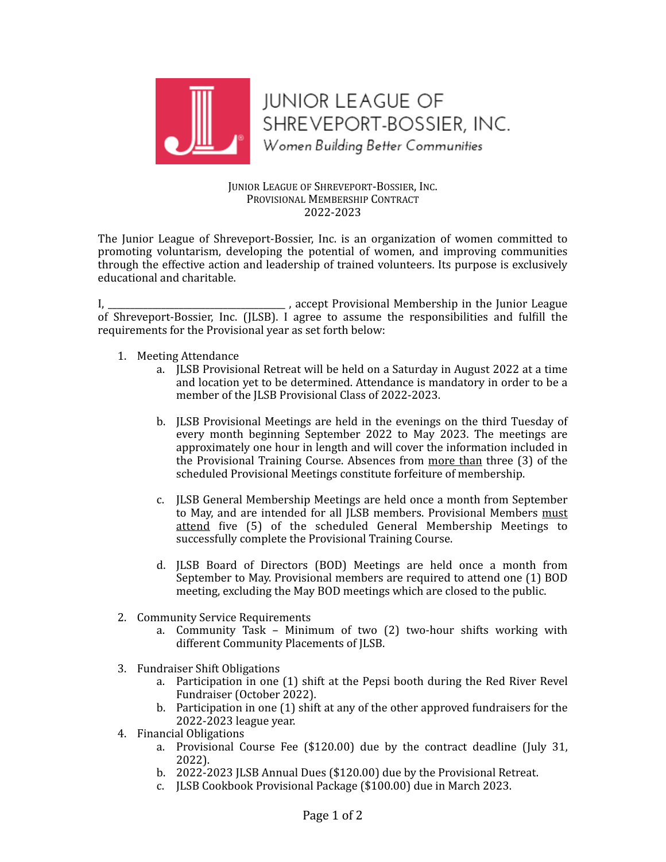

**JUNIOR LEAGUE OF** SHREVEPORT-BOSSIER, INC. Women Building Better Communities

## JUNIOR LEAGUE OF SHREVEPORT-BOSSIER, INC. PROVISIONAL MEMBERSHIP CONTRACT 2022-2023

The Junior League of Shreveport-Bossier, Inc. is an organization of women committed to promoting voluntarism, developing the potential of women, and improving communities through the effective action and leadership of trained volunteers. Its purpose is exclusively educational and charitable.

I, \_\_\_\_\_\_\_\_\_\_\_\_\_\_\_\_\_\_\_\_\_\_\_\_\_\_\_\_\_\_\_\_\_\_\_, accept Provisional Membership in the Junior League of Shreveport-Bossier, Inc. (JLSB). I agree to assume the responsibilities and fulfill the requirements for the Provisional year as set forth below:

- 1. Meeting Attendance
	- a. **JLSB** Provisional Retreat will be held on a Saturday in August 2022 at a time and location yet to be determined. Attendance is mandatory in order to be a member of the JLSB Provisional Class of 2022-2023.
	- b. **JLSB** Provisional Meetings are held in the evenings on the third Tuesday of every month beginning September 2022 to May 2023. The meetings are approximately one hour in length and will cover the information included in the Provisional Training Course. Absences from more than three (3) of the scheduled Provisional Meetings constitute forfeiture of membership.
	- c. **JLSB** General Membership Meetings are held once a month from September to May, and are intended for all JLSB members. Provisional Members must attend five (5) of the scheduled General Membership Meetings to successfully complete the Provisional Training Course.
	- d. [LSB Board of Directors (BOD) Meetings are held once a month from September to May. Provisional members are required to attend one (1) BOD meeting, excluding the May BOD meetings which are closed to the public.
- 2. Community Service Requirements
	- a. Community Task Minimum of two  $(2)$  two-hour shifts working with different Community Placements of JLSB.
- 3. Fundraiser Shift Obligations
	- a. Participation in one (1) shift at the Pepsi booth during the Red River Revel Fundraiser (October 2022).
	- b. Participation in one  $(1)$  shift at any of the other approved fundraisers for the 2022-2023 league vear.
- 4. Financial Obligations
	- a. Provisional Course Fee  $(\$120.00)$  due by the contract deadline (July 31, 2022).
	- b. 2022-2023 JLSB Annual Dues (\$120.00) due by the Provisional Retreat.
	- c. JLSB Cookbook Provisional Package (\$100.00) due in March 2023.